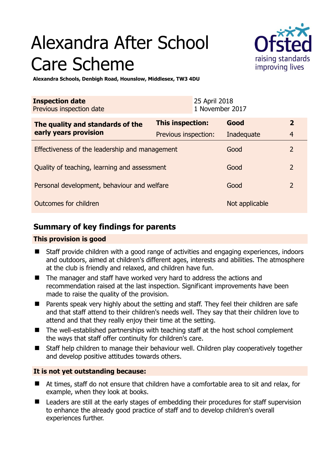# Alexandra After School Care Scheme



**Alexandra Schools, Denbigh Road, Hounslow, Middlesex, TW3 4DU** 

| <b>Inspection date</b><br>Previous inspection date        |                      | 25 April 2018<br>1 November 2017 |                |                |
|-----------------------------------------------------------|----------------------|----------------------------------|----------------|----------------|
| The quality and standards of the<br>early years provision | This inspection:     |                                  | Good           | $\overline{2}$ |
|                                                           | Previous inspection: |                                  | Inadequate     | $\overline{4}$ |
| Effectiveness of the leadership and management            |                      |                                  | Good           | $\overline{2}$ |
| Quality of teaching, learning and assessment              |                      |                                  | Good           | $\overline{2}$ |
| Personal development, behaviour and welfare               |                      |                                  | Good           | $\overline{2}$ |
| Outcomes for children                                     |                      |                                  | Not applicable |                |

# **Summary of key findings for parents**

## **This provision is good**

- Staff provide children with a good range of activities and engaging experiences, indoors and outdoors, aimed at children's different ages, interests and abilities. The atmosphere at the club is friendly and relaxed, and children have fun.
- The manager and staff have worked very hard to address the actions and recommendation raised at the last inspection. Significant improvements have been made to raise the quality of the provision.
- **Parents speak very highly about the setting and staff. They feel their children are safe** and that staff attend to their children's needs well. They say that their children love to attend and that they really enjoy their time at the setting.
- The well-established partnerships with teaching staff at the host school complement the ways that staff offer continuity for children's care.
- Staff help children to manage their behaviour well. Children play cooperatively together and develop positive attitudes towards others.

## **It is not yet outstanding because:**

- At times, staff do not ensure that children have a comfortable area to sit and relax, for example, when they look at books.
- **Leaders are still at the early stages of embedding their procedures for staff supervision** to enhance the already good practice of staff and to develop children's overall experiences further.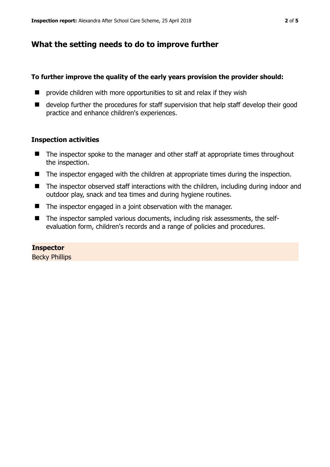# **What the setting needs to do to improve further**

## **To further improve the quality of the early years provision the provider should:**

- **P** provide children with more opportunities to sit and relax if they wish
- develop further the procedures for staff supervision that help staff develop their good practice and enhance children's experiences.

### **Inspection activities**

- The inspector spoke to the manager and other staff at appropriate times throughout the inspection.
- The inspector engaged with the children at appropriate times during the inspection.
- The inspector observed staff interactions with the children, including during indoor and outdoor play, snack and tea times and during hygiene routines.
- The inspector engaged in a joint observation with the manager.
- The inspector sampled various documents, including risk assessments, the selfevaluation form, children's records and a range of policies and procedures.

## **Inspector**

Becky Phillips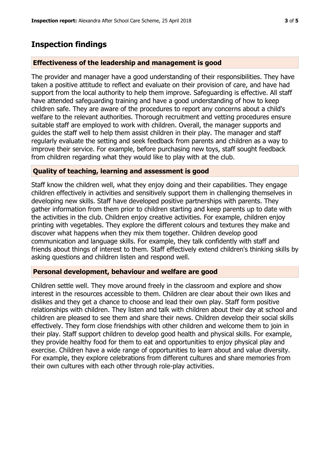# **Inspection findings**

#### **Effectiveness of the leadership and management is good**

The provider and manager have a good understanding of their responsibilities. They have taken a positive attitude to reflect and evaluate on their provision of care, and have had support from the local authority to help them improve. Safeguarding is effective. All staff have attended safeguarding training and have a good understanding of how to keep children safe. They are aware of the procedures to report any concerns about a child's welfare to the relevant authorities. Thorough recruitment and vetting procedures ensure suitable staff are employed to work with children. Overall, the manager supports and guides the staff well to help them assist children in their play. The manager and staff regularly evaluate the setting and seek feedback from parents and children as a way to improve their service. For example, before purchasing new toys, staff sought feedback from children regarding what they would like to play with at the club.

#### **Quality of teaching, learning and assessment is good**

Staff know the children well, what they enjoy doing and their capabilities. They engage children effectively in activities and sensitively support them in challenging themselves in developing new skills. Staff have developed positive partnerships with parents. They gather information from them prior to children starting and keep parents up to date with the activities in the club. Children enjoy creative activities. For example, children enjoy printing with vegetables. They explore the different colours and textures they make and discover what happens when they mix them together. Children develop good communication and language skills. For example, they talk confidently with staff and friends about things of interest to them. Staff effectively extend children's thinking skills by asking questions and children listen and respond well.

#### **Personal development, behaviour and welfare are good**

Children settle well. They move around freely in the classroom and explore and show interest in the resources accessible to them. Children are clear about their own likes and dislikes and they get a chance to choose and lead their own play. Staff form positive relationships with children. They listen and talk with children about their day at school and children are pleased to see them and share their news. Children develop their social skills effectively. They form close friendships with other children and welcome them to join in their play. Staff support children to develop good health and physical skills. For example, they provide healthy food for them to eat and opportunities to enjoy physical play and exercise. Children have a wide range of opportunities to learn about and value diversity. For example, they explore celebrations from different cultures and share memories from their own cultures with each other through role-play activities.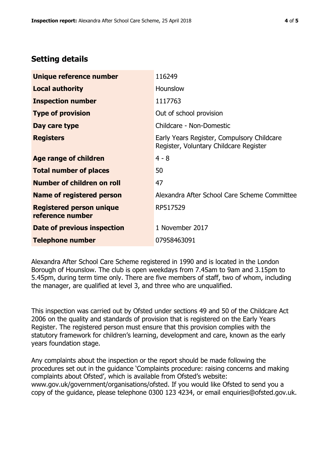# **Setting details**

| Unique reference number                             | 116249                                                                               |  |
|-----------------------------------------------------|--------------------------------------------------------------------------------------|--|
| <b>Local authority</b>                              | Hounslow                                                                             |  |
| <b>Inspection number</b>                            | 1117763                                                                              |  |
| <b>Type of provision</b>                            | Out of school provision                                                              |  |
| Day care type                                       | Childcare - Non-Domestic                                                             |  |
| <b>Registers</b>                                    | Early Years Register, Compulsory Childcare<br>Register, Voluntary Childcare Register |  |
| Age range of children                               | $4 - 8$                                                                              |  |
| <b>Total number of places</b>                       | 50                                                                                   |  |
| Number of children on roll                          | 47                                                                                   |  |
| Name of registered person                           | Alexandra After School Care Scheme Committee                                         |  |
| <b>Registered person unique</b><br>reference number | RP517529                                                                             |  |
| <b>Date of previous inspection</b>                  | 1 November 2017                                                                      |  |
| Telephone number                                    | 07958463091                                                                          |  |

Alexandra After School Care Scheme registered in 1990 and is located in the London Borough of Hounslow. The club is open weekdays from 7.45am to 9am and 3.15pm to 5.45pm, during term time only. There are five members of staff, two of whom, including the manager, are qualified at level 3, and three who are unqualified.

This inspection was carried out by Ofsted under sections 49 and 50 of the Childcare Act 2006 on the quality and standards of provision that is registered on the Early Years Register. The registered person must ensure that this provision complies with the statutory framework for children's learning, development and care, known as the early years foundation stage.

Any complaints about the inspection or the report should be made following the procedures set out in the guidance 'Complaints procedure: raising concerns and making complaints about Ofsted', which is available from Ofsted's website: www.gov.uk/government/organisations/ofsted. If you would like Ofsted to send you a copy of the guidance, please telephone 0300 123 4234, or email enquiries@ofsted.gov.uk.